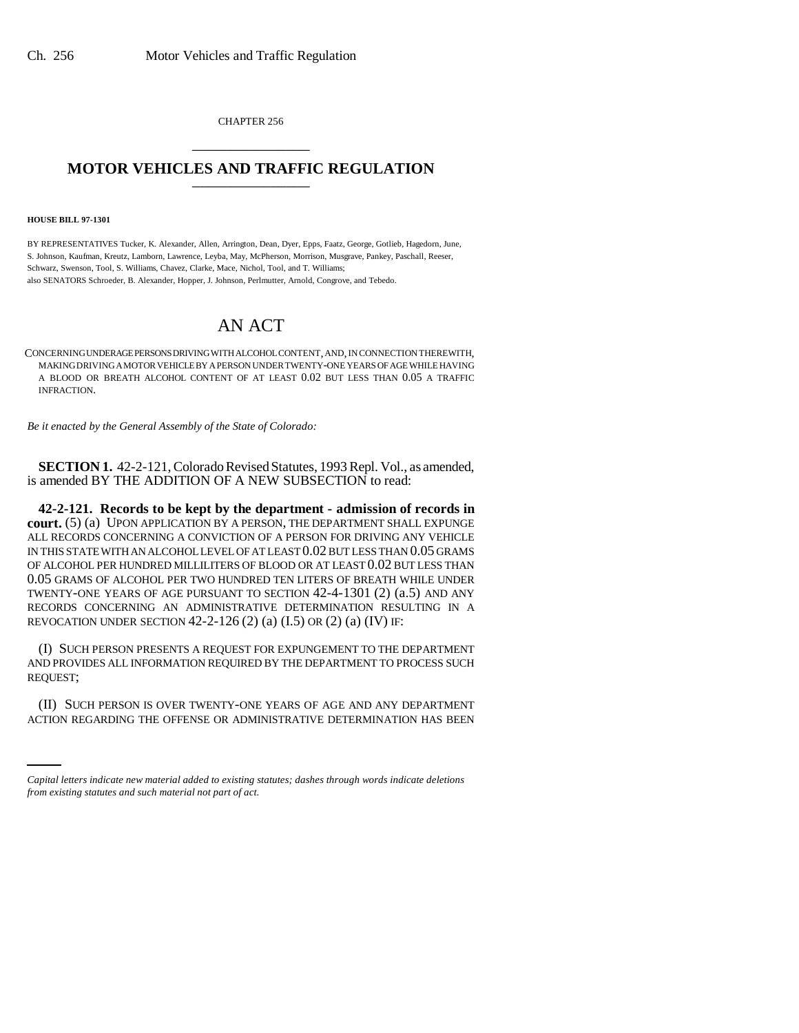CHAPTER 256 \_\_\_\_\_\_\_\_\_\_\_\_\_\_\_

## **MOTOR VEHICLES AND TRAFFIC REGULATION**

**HOUSE BILL 97-1301**

BY REPRESENTATIVES Tucker, K. Alexander, Allen, Arrington, Dean, Dyer, Epps, Faatz, George, Gotlieb, Hagedorn, June, S. Johnson, Kaufman, Kreutz, Lamborn, Lawrence, Leyba, May, McPherson, Morrison, Musgrave, Pankey, Paschall, Reeser, Schwarz, Swenson, Tool, S. Williams, Chavez, Clarke, Mace, Nichol, Tool, and T. Williams; also SENATORS Schroeder, B. Alexander, Hopper, J. Johnson, Perlmutter, Arnold, Congrove, and Tebedo.

# AN ACT

CONCERNING UNDERAGE PERSONS DRIVING WITH ALCOHOL CONTENT, AND, IN CONNECTION THEREWITH, MAKING DRIVING A MOTOR VEHICLE BY A PERSON UNDER TWENTY-ONE YEARS OF AGE WHILE HAVING A BLOOD OR BREATH ALCOHOL CONTENT OF AT LEAST 0.02 BUT LESS THAN 0.05 A TRAFFIC INFRACTION.

*Be it enacted by the General Assembly of the State of Colorado:*

**SECTION 1.** 42-2-121, Colorado Revised Statutes, 1993 Repl. Vol., as amended, is amended BY THE ADDITION OF A NEW SUBSECTION to read:

**42-2-121. Records to be kept by the department - admission of records in court.** (5) (a) UPON APPLICATION BY A PERSON, THE DEPARTMENT SHALL EXPUNGE ALL RECORDS CONCERNING A CONVICTION OF A PERSON FOR DRIVING ANY VEHICLE IN THIS STATE WITH AN ALCOHOL LEVEL OF AT LEAST 0.02 BUT LESS THAN 0.05 GRAMS OF ALCOHOL PER HUNDRED MILLILITERS OF BLOOD OR AT LEAST 0.02 BUT LESS THAN 0.05 GRAMS OF ALCOHOL PER TWO HUNDRED TEN LITERS OF BREATH WHILE UNDER TWENTY-ONE YEARS OF AGE PURSUANT TO SECTION 42-4-1301 (2) (a.5) AND ANY RECORDS CONCERNING AN ADMINISTRATIVE DETERMINATION RESULTING IN A REVOCATION UNDER SECTION  $42-2-126$  (2) (a)  $(I.5)$  OR (2) (a)  $(IV)$  IF:

(I) SUCH PERSON PRESENTS A REQUEST FOR EXPUNGEMENT TO THE DEPARTMENT AND PROVIDES ALL INFORMATION REQUIRED BY THE DEPARTMENT TO PROCESS SUCH REQUEST;

(II) SUCH PERSON IS OVER TWENTY-ONE YEARS OF AGE AND ANY DEPARTMENT ACTION REGARDING THE OFFENSE OR ADMINISTRATIVE DETERMINATION HAS BEEN

*Capital letters indicate new material added to existing statutes; dashes through words indicate deletions from existing statutes and such material not part of act.*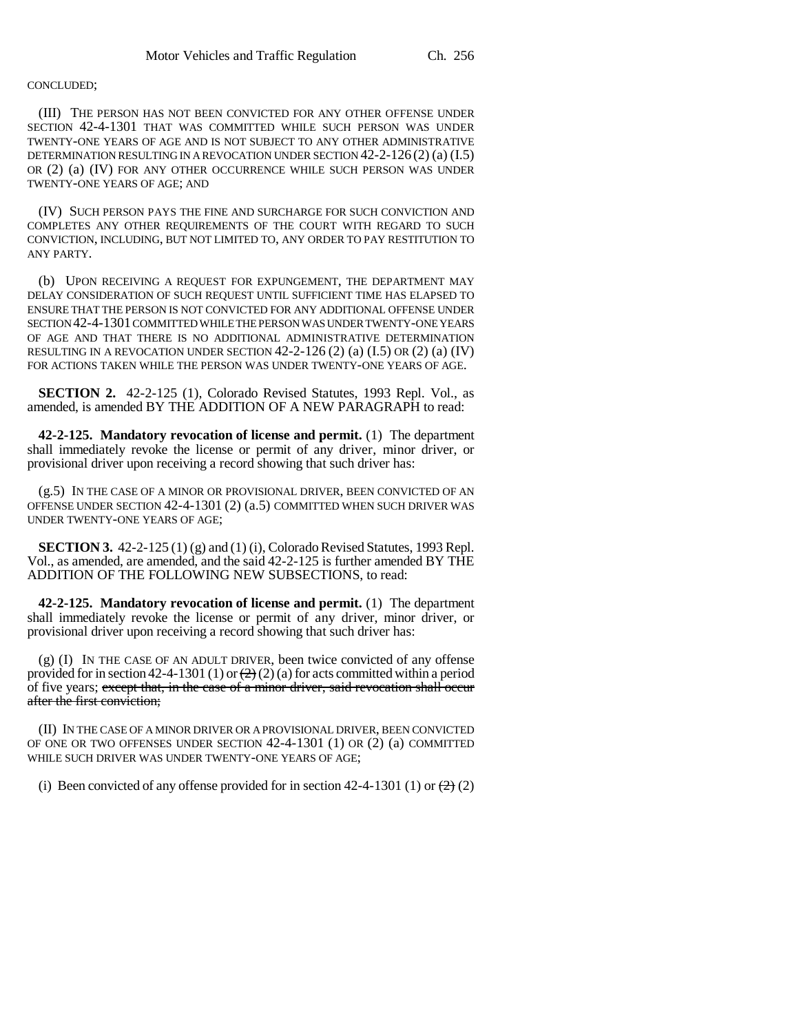#### CONCLUDED;

(III) THE PERSON HAS NOT BEEN CONVICTED FOR ANY OTHER OFFENSE UNDER SECTION 42-4-1301 THAT WAS COMMITTED WHILE SUCH PERSON WAS UNDER TWENTY-ONE YEARS OF AGE AND IS NOT SUBJECT TO ANY OTHER ADMINISTRATIVE DETERMINATION RESULTING IN A REVOCATION UNDER SECTION 42-2-126 (2) (a) (I.5) OR (2) (a) (IV) FOR ANY OTHER OCCURRENCE WHILE SUCH PERSON WAS UNDER TWENTY-ONE YEARS OF AGE; AND

(IV) SUCH PERSON PAYS THE FINE AND SURCHARGE FOR SUCH CONVICTION AND COMPLETES ANY OTHER REQUIREMENTS OF THE COURT WITH REGARD TO SUCH CONVICTION, INCLUDING, BUT NOT LIMITED TO, ANY ORDER TO PAY RESTITUTION TO ANY PARTY.

(b) UPON RECEIVING A REQUEST FOR EXPUNGEMENT, THE DEPARTMENT MAY DELAY CONSIDERATION OF SUCH REQUEST UNTIL SUFFICIENT TIME HAS ELAPSED TO ENSURE THAT THE PERSON IS NOT CONVICTED FOR ANY ADDITIONAL OFFENSE UNDER SECTION 42-4-1301 COMMITTED WHILE THE PERSON WAS UNDER TWENTY-ONE YEARS OF AGE AND THAT THERE IS NO ADDITIONAL ADMINISTRATIVE DETERMINATION RESULTING IN A REVOCATION UNDER SECTION  $42-2-126$  (2) (a)  $(I.5)$  OR (2) (a)  $(IV)$ FOR ACTIONS TAKEN WHILE THE PERSON WAS UNDER TWENTY-ONE YEARS OF AGE.

**SECTION 2.** 42-2-125 (1), Colorado Revised Statutes, 1993 Repl. Vol., as amended, is amended BY THE ADDITION OF A NEW PARAGRAPH to read:

**42-2-125. Mandatory revocation of license and permit.** (1) The department shall immediately revoke the license or permit of any driver, minor driver, or provisional driver upon receiving a record showing that such driver has:

(g.5) IN THE CASE OF A MINOR OR PROVISIONAL DRIVER, BEEN CONVICTED OF AN OFFENSE UNDER SECTION 42-4-1301 (2) (a.5) COMMITTED WHEN SUCH DRIVER WAS UNDER TWENTY-ONE YEARS OF AGE;

**SECTION 3.** 42-2-125 (1) (g) and (1) (i), Colorado Revised Statutes, 1993 Repl. Vol., as amended, are amended, and the said 42-2-125 is further amended BY THE ADDITION OF THE FOLLOWING NEW SUBSECTIONS, to read:

**42-2-125. Mandatory revocation of license and permit.** (1) The department shall immediately revoke the license or permit of any driver, minor driver, or provisional driver upon receiving a record showing that such driver has:

(g) (I) IN THE CASE OF AN ADULT DRIVER, been twice convicted of any offense provided for in section 42-4-1301 (1) or  $(2)(2)$  (a) for acts committed within a period of five years; except that, in the case of a minor driver, said revocation shall occur after the first conviction;

(II) IN THE CASE OF A MINOR DRIVER OR A PROVISIONAL DRIVER, BEEN CONVICTED OF ONE OR TWO OFFENSES UNDER SECTION 42-4-1301 (1) OR (2) (a) COMMITTED WHILE SUCH DRIVER WAS UNDER TWENTY-ONE YEARS OF AGE;

(i) Been convicted of any offense provided for in section 42-4-1301 (1) or  $\left(\frac{2}{2}\right)$  (2)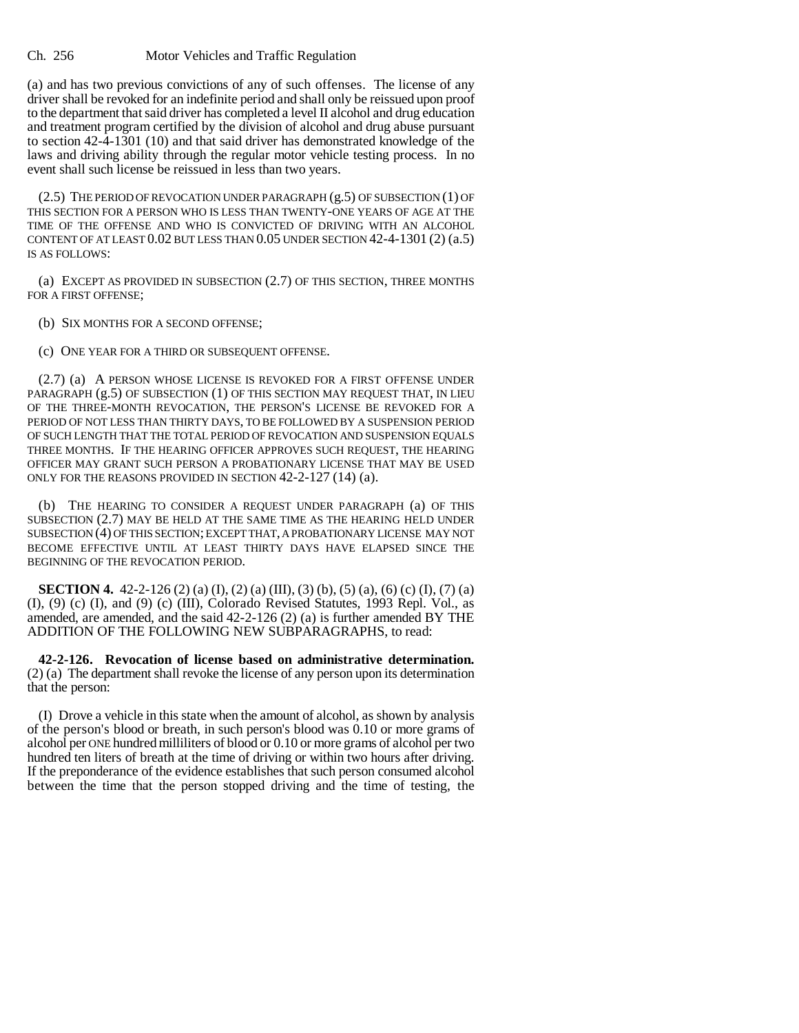(a) and has two previous convictions of any of such offenses. The license of any driver shall be revoked for an indefinite period and shall only be reissued upon proof to the department that said driver has completed a level II alcohol and drug education and treatment program certified by the division of alcohol and drug abuse pursuant to section 42-4-1301 (10) and that said driver has demonstrated knowledge of the laws and driving ability through the regular motor vehicle testing process. In no event shall such license be reissued in less than two years.

(2.5) THE PERIOD OF REVOCATION UNDER PARAGRAPH (g.5) OF SUBSECTION (1) OF THIS SECTION FOR A PERSON WHO IS LESS THAN TWENTY-ONE YEARS OF AGE AT THE TIME OF THE OFFENSE AND WHO IS CONVICTED OF DRIVING WITH AN ALCOHOL CONTENT OF AT LEAST  $0.02$  BUT LESS THAN  $0.05$  UNDER SECTION  $42-4-1301$   $(2)$   $(a.5)$ IS AS FOLLOWS:

(a) EXCEPT AS PROVIDED IN SUBSECTION (2.7) OF THIS SECTION, THREE MONTHS FOR A FIRST OFFENSE;

(b) SIX MONTHS FOR A SECOND OFFENSE;

(c) ONE YEAR FOR A THIRD OR SUBSEQUENT OFFENSE.

(2.7) (a) A PERSON WHOSE LICENSE IS REVOKED FOR A FIRST OFFENSE UNDER PARAGRAPH (g.5) OF SUBSECTION (1) OF THIS SECTION MAY REQUEST THAT, IN LIEU OF THE THREE-MONTH REVOCATION, THE PERSON'S LICENSE BE REVOKED FOR A PERIOD OF NOT LESS THAN THIRTY DAYS, TO BE FOLLOWED BY A SUSPENSION PERIOD OF SUCH LENGTH THAT THE TOTAL PERIOD OF REVOCATION AND SUSPENSION EQUALS THREE MONTHS. IF THE HEARING OFFICER APPROVES SUCH REQUEST, THE HEARING OFFICER MAY GRANT SUCH PERSON A PROBATIONARY LICENSE THAT MAY BE USED ONLY FOR THE REASONS PROVIDED IN SECTION 42-2-127 (14) (a).

(b) THE HEARING TO CONSIDER A REQUEST UNDER PARAGRAPH (a) OF THIS SUBSECTION (2.7) MAY BE HELD AT THE SAME TIME AS THE HEARING HELD UNDER SUBSECTION (4) OF THIS SECTION; EXCEPT THAT, A PROBATIONARY LICENSE MAY NOT BECOME EFFECTIVE UNTIL AT LEAST THIRTY DAYS HAVE ELAPSED SINCE THE BEGINNING OF THE REVOCATION PERIOD.

**SECTION 4.** 42-2-126 (2) (a) (I), (2) (a) (III), (3) (b), (5) (a), (6) (c) (I), (7) (a) (I), (9) (c) (I), and (9) (c) (III), Colorado Revised Statutes, 1993 Repl. Vol., as amended, are amended, and the said 42-2-126 (2) (a) is further amended BY THE ADDITION OF THE FOLLOWING NEW SUBPARAGRAPHS, to read:

**42-2-126. Revocation of license based on administrative determination.** (2) (a) The department shall revoke the license of any person upon its determination that the person:

(I) Drove a vehicle in this state when the amount of alcohol, as shown by analysis of the person's blood or breath, in such person's blood was 0.10 or more grams of alcohol per ONE hundred milliliters of blood or 0.10 or more grams of alcohol per two hundred ten liters of breath at the time of driving or within two hours after driving. If the preponderance of the evidence establishes that such person consumed alcohol between the time that the person stopped driving and the time of testing, the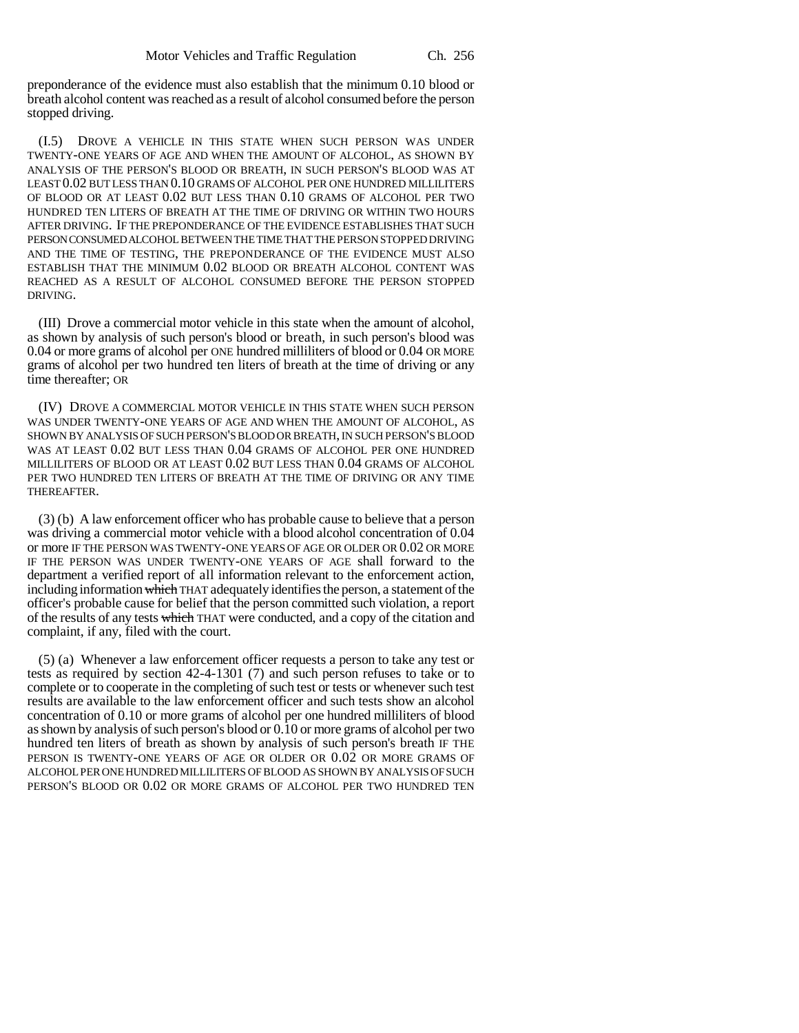preponderance of the evidence must also establish that the minimum 0.10 blood or breath alcohol content was reached as a result of alcohol consumed before the person stopped driving.

(I.5) DROVE A VEHICLE IN THIS STATE WHEN SUCH PERSON WAS UNDER TWENTY-ONE YEARS OF AGE AND WHEN THE AMOUNT OF ALCOHOL, AS SHOWN BY ANALYSIS OF THE PERSON'S BLOOD OR BREATH, IN SUCH PERSON'S BLOOD WAS AT LEAST 0.02 BUT LESS THAN 0.10 GRAMS OF ALCOHOL PER ONE HUNDRED MILLILITERS OF BLOOD OR AT LEAST 0.02 BUT LESS THAN 0.10 GRAMS OF ALCOHOL PER TWO HUNDRED TEN LITERS OF BREATH AT THE TIME OF DRIVING OR WITHIN TWO HOURS AFTER DRIVING. IF THE PREPONDERANCE OF THE EVIDENCE ESTABLISHES THAT SUCH PERSON CONSUMED ALCOHOL BETWEEN THE TIME THAT THE PERSON STOPPED DRIVING AND THE TIME OF TESTING, THE PREPONDERANCE OF THE EVIDENCE MUST ALSO ESTABLISH THAT THE MINIMUM 0.02 BLOOD OR BREATH ALCOHOL CONTENT WAS REACHED AS A RESULT OF ALCOHOL CONSUMED BEFORE THE PERSON STOPPED DRIVING.

(III) Drove a commercial motor vehicle in this state when the amount of alcohol, as shown by analysis of such person's blood or breath, in such person's blood was 0.04 or more grams of alcohol per ONE hundred milliliters of blood or 0.04 OR MORE grams of alcohol per two hundred ten liters of breath at the time of driving or any time thereafter; OR

(IV) DROVE A COMMERCIAL MOTOR VEHICLE IN THIS STATE WHEN SUCH PERSON WAS UNDER TWENTY-ONE YEARS OF AGE AND WHEN THE AMOUNT OF ALCOHOL, AS SHOWN BY ANALYSIS OF SUCH PERSON'S BLOOD OR BREATH, IN SUCH PERSON'S BLOOD WAS AT LEAST 0.02 BUT LESS THAN 0.04 GRAMS OF ALCOHOL PER ONE HUNDRED MILLILITERS OF BLOOD OR AT LEAST 0.02 BUT LESS THAN 0.04 GRAMS OF ALCOHOL PER TWO HUNDRED TEN LITERS OF BREATH AT THE TIME OF DRIVING OR ANY TIME THEREAFTER.

(3) (b) A law enforcement officer who has probable cause to believe that a person was driving a commercial motor vehicle with a blood alcohol concentration of 0.04 or more IF THE PERSON WAS TWENTY-ONE YEARS OF AGE OR OLDER OR 0.02 OR MORE IF THE PERSON WAS UNDER TWENTY-ONE YEARS OF AGE shall forward to the department a verified report of all information relevant to the enforcement action, including information which THAT adequately identifies the person, a statement of the officer's probable cause for belief that the person committed such violation, a report of the results of any tests which THAT were conducted, and a copy of the citation and complaint, if any, filed with the court.

(5) (a) Whenever a law enforcement officer requests a person to take any test or tests as required by section 42-4-1301 (7) and such person refuses to take or to complete or to cooperate in the completing of such test or tests or whenever such test results are available to the law enforcement officer and such tests show an alcohol concentration of 0.10 or more grams of alcohol per one hundred milliliters of blood as shown by analysis of such person's blood or 0.10 or more grams of alcohol per two hundred ten liters of breath as shown by analysis of such person's breath IF THE PERSON IS TWENTY-ONE YEARS OF AGE OR OLDER OR 0.02 OR MORE GRAMS OF ALCOHOL PER ONE HUNDRED MILLILITERS OF BLOOD AS SHOWN BY ANALYSIS OF SUCH PERSON'S BLOOD OR 0.02 OR MORE GRAMS OF ALCOHOL PER TWO HUNDRED TEN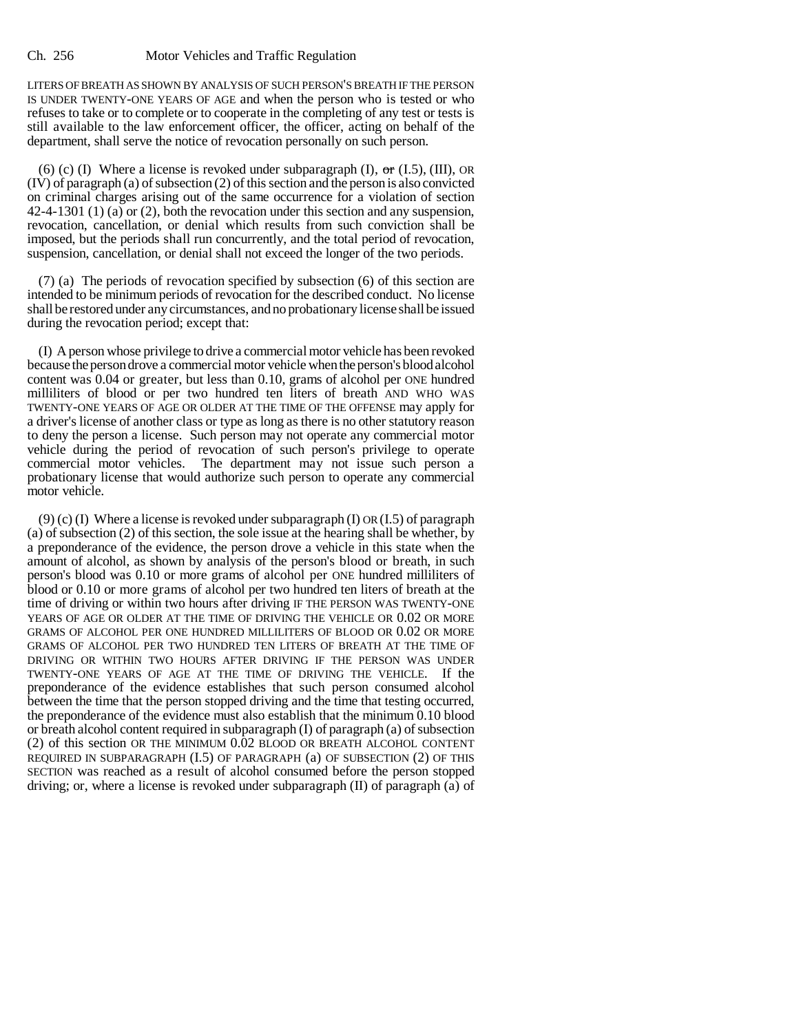LITERS OF BREATH AS SHOWN BY ANALYSIS OF SUCH PERSON'S BREATH IF THE PERSON IS UNDER TWENTY-ONE YEARS OF AGE and when the person who is tested or who refuses to take or to complete or to cooperate in the completing of any test or tests is still available to the law enforcement officer, the officer, acting on behalf of the department, shall serve the notice of revocation personally on such person.

(6) (c) (I) Where a license is revoked under subparagraph (I),  $\sigma$  (I.5), (III), OR (IV) of paragraph (a) of subsection (2) of this section and the person is also convicted on criminal charges arising out of the same occurrence for a violation of section 42-4-1301 (1) (a) or (2), both the revocation under this section and any suspension, revocation, cancellation, or denial which results from such conviction shall be imposed, but the periods shall run concurrently, and the total period of revocation, suspension, cancellation, or denial shall not exceed the longer of the two periods.

(7) (a) The periods of revocation specified by subsection (6) of this section are intended to be minimum periods of revocation for the described conduct. No license shall be restored under any circumstances, and no probationary license shall be issued during the revocation period; except that:

(I) A person whose privilege to drive a commercial motor vehicle has been revoked because the person drove a commercial motor vehicle when the person's blood alcohol content was 0.04 or greater, but less than 0.10, grams of alcohol per ONE hundred milliliters of blood or per two hundred ten liters of breath AND WHO WAS TWENTY-ONE YEARS OF AGE OR OLDER AT THE TIME OF THE OFFENSE may apply for a driver's license of another class or type as long as there is no other statutory reason to deny the person a license. Such person may not operate any commercial motor vehicle during the period of revocation of such person's privilege to operate commercial motor vehicles. The department may not issue such person a probationary license that would authorize such person to operate any commercial motor vehicle.

 $(9)$  (c) (I) Where a license is revoked under subparagraph (I) OR (I.5) of paragraph (a) of subsection (2) of this section, the sole issue at the hearing shall be whether, by a preponderance of the evidence, the person drove a vehicle in this state when the amount of alcohol, as shown by analysis of the person's blood or breath, in such person's blood was 0.10 or more grams of alcohol per ONE hundred milliliters of blood or 0.10 or more grams of alcohol per two hundred ten liters of breath at the time of driving or within two hours after driving IF THE PERSON WAS TWENTY-ONE YEARS OF AGE OR OLDER AT THE TIME OF DRIVING THE VEHICLE OR 0.02 OR MORE GRAMS OF ALCOHOL PER ONE HUNDRED MILLILITERS OF BLOOD OR 0.02 OR MORE GRAMS OF ALCOHOL PER TWO HUNDRED TEN LITERS OF BREATH AT THE TIME OF DRIVING OR WITHIN TWO HOURS AFTER DRIVING IF THE PERSON WAS UNDER TWENTY-ONE YEARS OF AGE AT THE TIME OF DRIVING THE VEHICLE. If the preponderance of the evidence establishes that such person consumed alcohol between the time that the person stopped driving and the time that testing occurred, the preponderance of the evidence must also establish that the minimum 0.10 blood or breath alcohol content required in subparagraph (I) of paragraph (a) of subsection (2) of this section OR THE MINIMUM 0.02 BLOOD OR BREATH ALCOHOL CONTENT REQUIRED IN SUBPARAGRAPH (I.5) OF PARAGRAPH (a) OF SUBSECTION (2) OF THIS SECTION was reached as a result of alcohol consumed before the person stopped driving; or, where a license is revoked under subparagraph  $(II)$  of paragraph  $(\overline{a})$  of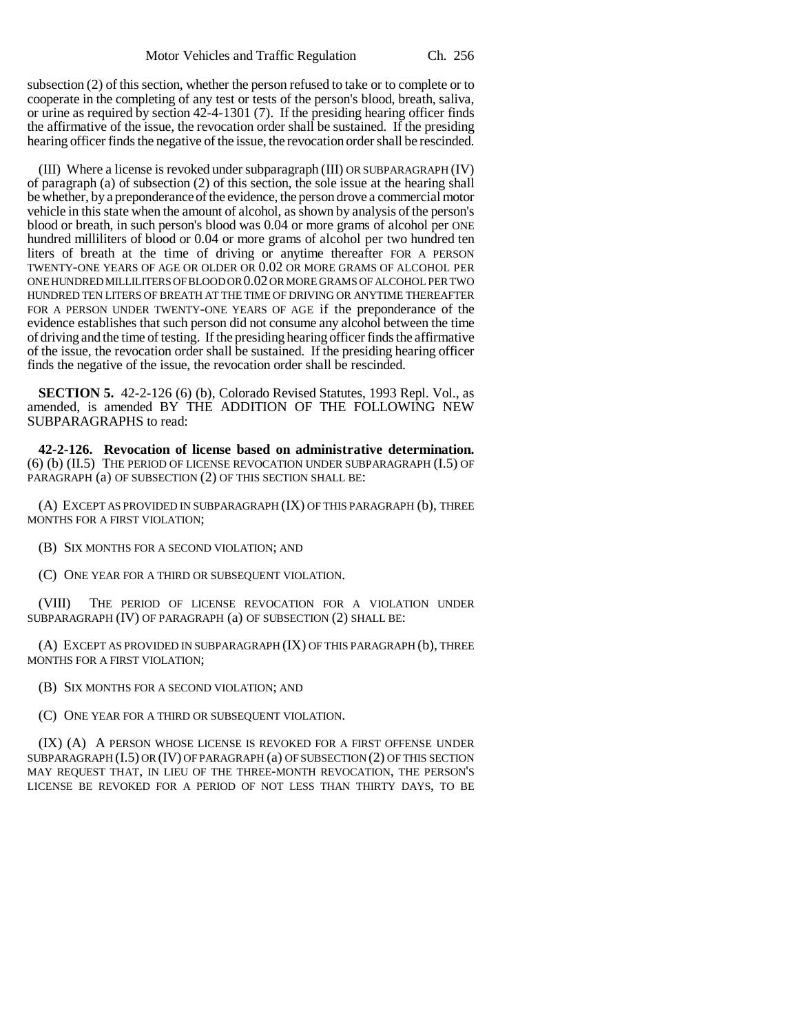subsection (2) of this section, whether the person refused to take or to complete or to cooperate in the completing of any test or tests of the person's blood, breath, saliva, or urine as required by section 42-4-1301 (7). If the presiding hearing officer finds the affirmative of the issue, the revocation order shall be sustained. If the presiding hearing officer finds the negative of the issue, the revocation order shall be rescinded.

(III) Where a license is revoked under subparagraph (III) OR SUBPARAGRAPH (IV) of paragraph (a) of subsection (2) of this section, the sole issue at the hearing shall be whether, by a preponderance of the evidence, the person drove a commercial motor vehicle in this state when the amount of alcohol, as shown by analysis of the person's blood or breath, in such person's blood was 0.04 or more grams of alcohol per ONE hundred milliliters of blood or 0.04 or more grams of alcohol per two hundred ten liters of breath at the time of driving or anytime thereafter FOR A PERSON TWENTY-ONE YEARS OF AGE OR OLDER OR 0.02 OR MORE GRAMS OF ALCOHOL PER ONE HUNDRED MILLILITERS OF BLOOD OR 0.02 OR MORE GRAMS OF ALCOHOL PER TWO HUNDRED TEN LITERS OF BREATH AT THE TIME OF DRIVING OR ANYTIME THEREAFTER FOR A PERSON UNDER TWENTY-ONE YEARS OF AGE if the preponderance of the evidence establishes that such person did not consume any alcohol between the time of driving and the time of testing. If the presiding hearing officer finds the affirmative of the issue, the revocation order shall be sustained. If the presiding hearing officer finds the negative of the issue, the revocation order shall be rescinded.

**SECTION 5.** 42-2-126 (6) (b), Colorado Revised Statutes, 1993 Repl. Vol., as amended, is amended BY THE ADDITION OF THE FOLLOWING NEW SUBPARAGRAPHS to read:

**42-2-126. Revocation of license based on administrative determination.** (6) (b) (II.5) THE PERIOD OF LICENSE REVOCATION UNDER SUBPARAGRAPH (I.5) OF PARAGRAPH (a) OF SUBSECTION (2) OF THIS SECTION SHALL BE:

(A) EXCEPT AS PROVIDED IN SUBPARAGRAPH (IX) OF THIS PARAGRAPH (b), THREE MONTHS FOR A FIRST VIOLATION;

- (B) SIX MONTHS FOR A SECOND VIOLATION; AND
- (C) ONE YEAR FOR A THIRD OR SUBSEQUENT VIOLATION.

(VIII) THE PERIOD OF LICENSE REVOCATION FOR A VIOLATION UNDER SUBPARAGRAPH (IV) OF PARAGRAPH (a) OF SUBSECTION (2) SHALL BE:

(A) EXCEPT AS PROVIDED IN SUBPARAGRAPH (IX) OF THIS PARAGRAPH (b), THREE MONTHS FOR A FIRST VIOLATION;

- (B) SIX MONTHS FOR A SECOND VIOLATION; AND
- (C) ONE YEAR FOR A THIRD OR SUBSEQUENT VIOLATION.

(IX) (A) A PERSON WHOSE LICENSE IS REVOKED FOR A FIRST OFFENSE UNDER SUBPARAGRAPH (I.5) OR (IV) OF PARAGRAPH (a) OF SUBSECTION (2) OF THIS SECTION MAY REQUEST THAT, IN LIEU OF THE THREE-MONTH REVOCATION, THE PERSON'S LICENSE BE REVOKED FOR A PERIOD OF NOT LESS THAN THIRTY DAYS, TO BE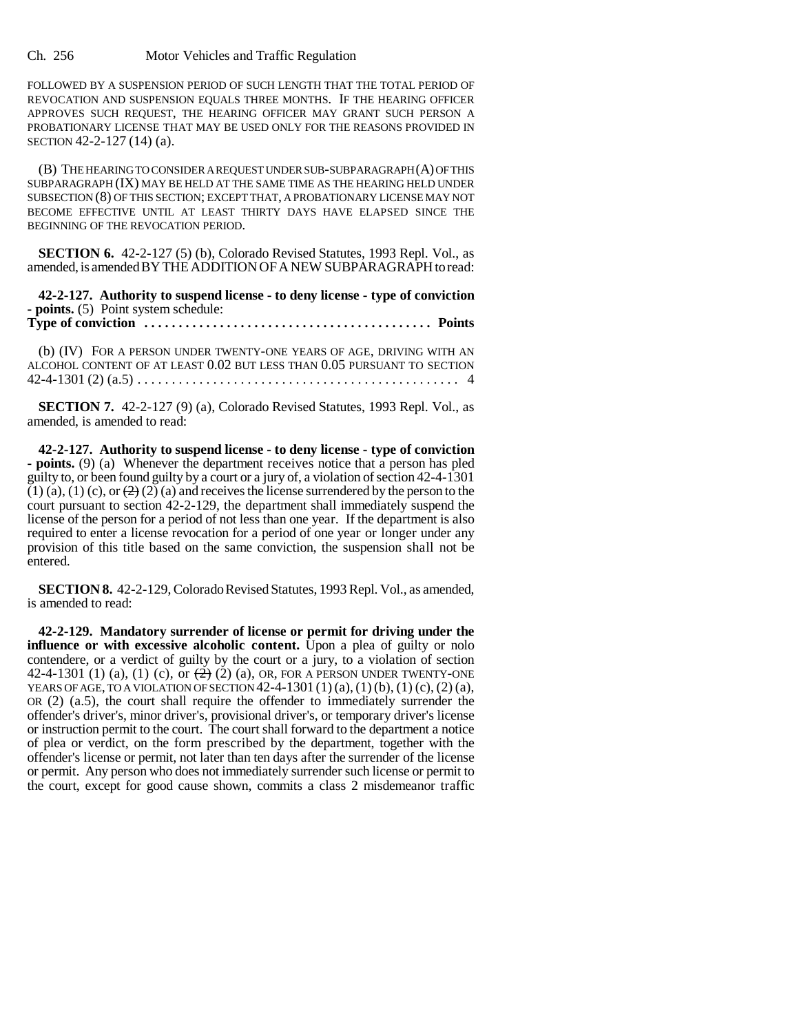Ch. 256 Motor Vehicles and Traffic Regulation

FOLLOWED BY A SUSPENSION PERIOD OF SUCH LENGTH THAT THE TOTAL PERIOD OF REVOCATION AND SUSPENSION EQUALS THREE MONTHS. IF THE HEARING OFFICER APPROVES SUCH REQUEST, THE HEARING OFFICER MAY GRANT SUCH PERSON A PROBATIONARY LICENSE THAT MAY BE USED ONLY FOR THE REASONS PROVIDED IN SECTION 42-2-127 (14) (a).

(B) THE HEARING TO CONSIDER A REQUEST UNDER SUB-SUBPARAGRAPH (A) OF THIS SUBPARAGRAPH (IX) MAY BE HELD AT THE SAME TIME AS THE HEARING HELD UNDER SUBSECTION (8) OF THIS SECTION; EXCEPT THAT, A PROBATIONARY LICENSE MAY NOT BECOME EFFECTIVE UNTIL AT LEAST THIRTY DAYS HAVE ELAPSED SINCE THE BEGINNING OF THE REVOCATION PERIOD.

**SECTION 6.** 42-2-127 (5) (b), Colorado Revised Statutes, 1993 Repl. Vol., as amended, is amended BY THE ADDITION OF A NEW SUBPARAGRAPH to read:

**42-2-127. Authority to suspend license - to deny license - type of conviction - points.** (5) Point system schedule:

**Type of conviction . . . . . . . . . . . . . . . . . . . . . . . . . . . . . . . . . . . . . . . . . . Points**

(b) (IV) FOR A PERSON UNDER TWENTY-ONE YEARS OF AGE, DRIVING WITH AN ALCOHOL CONTENT OF AT LEAST 0.02 BUT LESS THAN 0.05 PURSUANT TO SECTION 42-4-1301 (2) (a.5) . . . . . . . . . . . . . . . . . . . . . . . . . . . . . . . . . . . . . . . . . . . . . . . 4

**SECTION 7.** 42-2-127 (9) (a), Colorado Revised Statutes, 1993 Repl. Vol., as amended, is amended to read:

**42-2-127. Authority to suspend license - to deny license - type of conviction - points.** (9) (a) Whenever the department receives notice that a person has pled guilty to, or been found guilty by a court or a jury of, a violation of section 42-4-1301  $(1)$  (a), (1) (c), or  $(2)$  (2) (a) and receives the license surrendered by the person to the court pursuant to section 42-2-129, the department shall immediately suspend the license of the person for a period of not less than one year. If the department is also required to enter a license revocation for a period of one year or longer under any provision of this title based on the same conviction, the suspension shall not be entered.

**SECTION 8.** 42-2-129, Colorado Revised Statutes, 1993 Repl. Vol., as amended, is amended to read:

**42-2-129. Mandatory surrender of license or permit for driving under the influence or with excessive alcoholic content.** Upon a plea of guilty or nolo contendere, or a verdict of guilty by the court or a jury, to a violation of section 42-4-1301 (1) (a), (1) (c), or  $\left(\frac{2}{2}\right)$  (a), OR, FOR A PERSON UNDER TWENTY-ONE YEARS OF AGE, TO A VIOLATION OF SECTION  $42-4-1301(1)(a)$ ,  $(1)(b)$ ,  $(1)(c)$ ,  $(2)(a)$ , OR (2) (a.5), the court shall require the offender to immediately surrender the offender's driver's, minor driver's, provisional driver's, or temporary driver's license or instruction permit to the court. The court shall forward to the department a notice of plea or verdict, on the form prescribed by the department, together with the offender's license or permit, not later than ten days after the surrender of the license or permit. Any person who does not immediately surrender such license or permit to the court, except for good cause shown, commits a class 2 misdemeanor traffic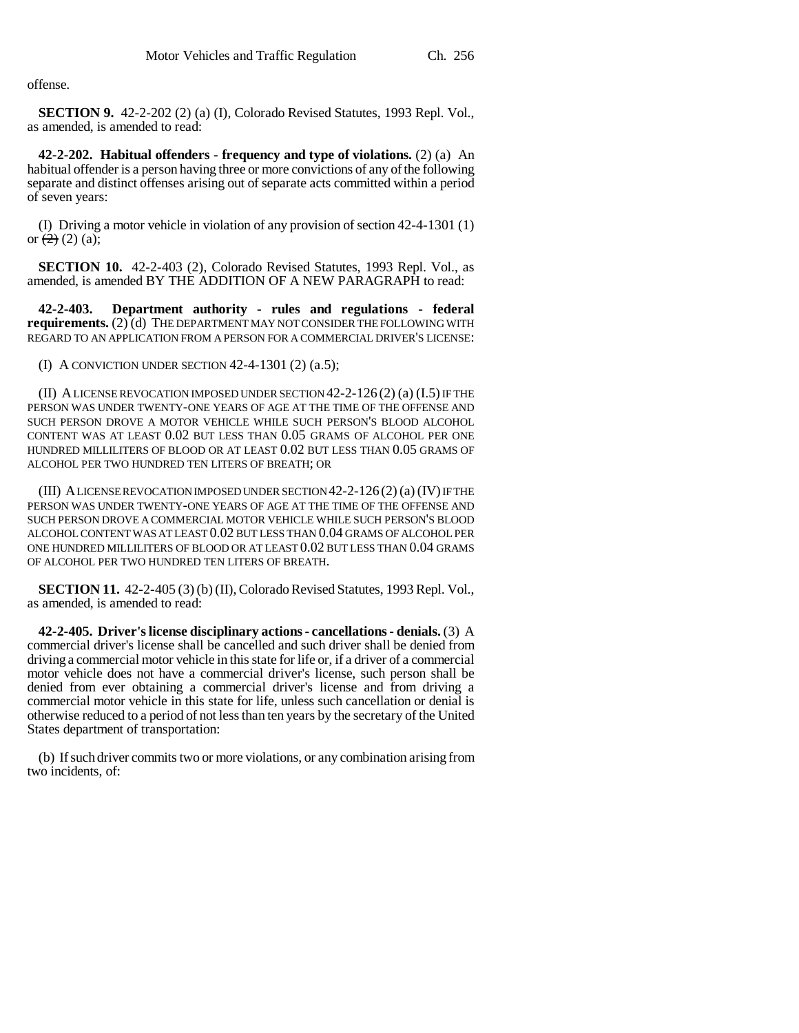offense.

**SECTION 9.** 42-2-202 (2) (a) (I), Colorado Revised Statutes, 1993 Repl. Vol., as amended, is amended to read:

**42-2-202. Habitual offenders - frequency and type of violations.** (2) (a) An habitual offender is a person having three or more convictions of any of the following separate and distinct offenses arising out of separate acts committed within a period of seven years:

(I) Driving a motor vehicle in violation of any provision of section 42-4-1301 (1) or  $(2)$  (2) (a);

**SECTION 10.** 42-2-403 (2), Colorado Revised Statutes, 1993 Repl. Vol., as amended, is amended BY THE ADDITION OF A NEW PARAGRAPH to read:

**42-2-403. Department authority - rules and regulations - federal requirements.** (2) (d) THE DEPARTMENT MAY NOT CONSIDER THE FOLLOWING WITH REGARD TO AN APPLICATION FROM A PERSON FOR A COMMERCIAL DRIVER'S LICENSE:

(I) A CONVICTION UNDER SECTION 42-4-1301 (2) (a.5);

(II) A LICENSE REVOCATION IMPOSED UNDER SECTION 42-2-126 (2) (a) (I.5) IF THE PERSON WAS UNDER TWENTY-ONE YEARS OF AGE AT THE TIME OF THE OFFENSE AND SUCH PERSON DROVE A MOTOR VEHICLE WHILE SUCH PERSON'S BLOOD ALCOHOL CONTENT WAS AT LEAST 0.02 BUT LESS THAN 0.05 GRAMS OF ALCOHOL PER ONE HUNDRED MILLILITERS OF BLOOD OR AT LEAST 0.02 BUT LESS THAN 0.05 GRAMS OF ALCOHOL PER TWO HUNDRED TEN LITERS OF BREATH; OR

(III) A LICENSE REVOCATION IMPOSED UNDER SECTION 42-2-126(2) (a) (IV) IF THE PERSON WAS UNDER TWENTY-ONE YEARS OF AGE AT THE TIME OF THE OFFENSE AND SUCH PERSON DROVE A COMMERCIAL MOTOR VEHICLE WHILE SUCH PERSON'S BLOOD ALCOHOL CONTENT WAS AT LEAST 0.02 BUT LESS THAN 0.04 GRAMS OF ALCOHOL PER ONE HUNDRED MILLILITERS OF BLOOD OR AT LEAST 0.02 BUT LESS THAN 0.04 GRAMS OF ALCOHOL PER TWO HUNDRED TEN LITERS OF BREATH.

**SECTION 11.** 42-2-405 (3) (b) (II), Colorado Revised Statutes, 1993 Repl. Vol., as amended, is amended to read:

**42-2-405. Driver's license disciplinary actions - cancellations - denials.** (3) A commercial driver's license shall be cancelled and such driver shall be denied from driving a commercial motor vehicle in this state for life or, if a driver of a commercial motor vehicle does not have a commercial driver's license, such person shall be denied from ever obtaining a commercial driver's license and from driving a commercial motor vehicle in this state for life, unless such cancellation or denial is otherwise reduced to a period of not less than ten years by the secretary of the United States department of transportation:

(b) If such driver commits two or more violations, or any combination arising from two incidents, of: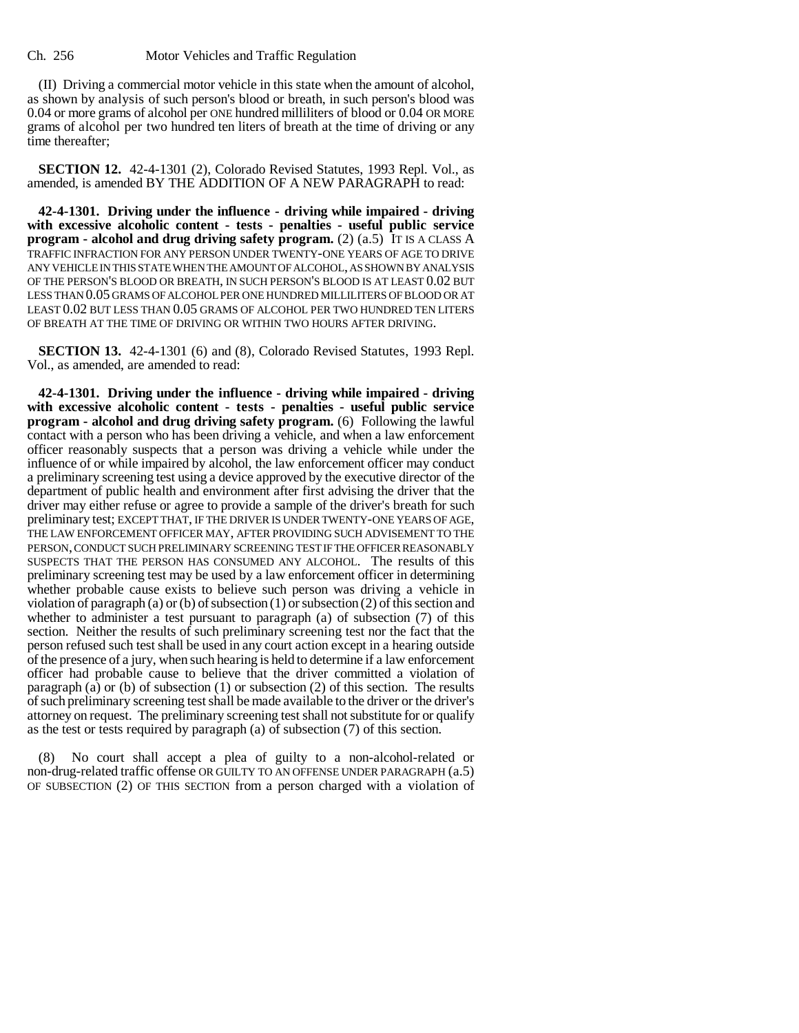(II) Driving a commercial motor vehicle in this state when the amount of alcohol, as shown by analysis of such person's blood or breath, in such person's blood was 0.04 or more grams of alcohol per ONE hundred milliliters of blood or 0.04 OR MORE grams of alcohol per two hundred ten liters of breath at the time of driving or any time thereafter;

**SECTION 12.** 42-4-1301 (2), Colorado Revised Statutes, 1993 Repl. Vol., as amended, is amended BY THE ADDITION OF A NEW PARAGRAPH to read:

**42-4-1301. Driving under the influence - driving while impaired - driving with excessive alcoholic content - tests - penalties - useful public service program - alcohol and drug driving safety program.** (2) (a.5) IT IS A CLASS A TRAFFIC INFRACTION FOR ANY PERSON UNDER TWENTY-ONE YEARS OF AGE TO DRIVE ANY VEHICLE IN THIS STATE WHEN THE AMOUNT OF ALCOHOL, AS SHOWN BY ANALYSIS OF THE PERSON'S BLOOD OR BREATH, IN SUCH PERSON'S BLOOD IS AT LEAST 0.02 BUT LESS THAN 0.05 GRAMS OF ALCOHOL PER ONE HUNDRED MILLILITERS OF BLOOD OR AT LEAST 0.02 BUT LESS THAN 0.05 GRAMS OF ALCOHOL PER TWO HUNDRED TEN LITERS OF BREATH AT THE TIME OF DRIVING OR WITHIN TWO HOURS AFTER DRIVING.

**SECTION 13.** 42-4-1301 (6) and (8), Colorado Revised Statutes, 1993 Repl. Vol., as amended, are amended to read:

**42-4-1301. Driving under the influence - driving while impaired - driving with excessive alcoholic content - tests - penalties - useful public service program - alcohol and drug driving safety program.** (6) Following the lawful contact with a person who has been driving a vehicle, and when a law enforcement officer reasonably suspects that a person was driving a vehicle while under the influence of or while impaired by alcohol, the law enforcement officer may conduct a preliminary screening test using a device approved by the executive director of the department of public health and environment after first advising the driver that the driver may either refuse or agree to provide a sample of the driver's breath for such preliminary test; EXCEPT THAT, IF THE DRIVER IS UNDER TWENTY-ONE YEARS OF AGE, THE LAW ENFORCEMENT OFFICER MAY, AFTER PROVIDING SUCH ADVISEMENT TO THE PERSON, CONDUCT SUCH PRELIMINARY SCREENING TEST IF THE OFFICER REASONABLY SUSPECTS THAT THE PERSON HAS CONSUMED ANY ALCOHOL. The results of this preliminary screening test may be used by a law enforcement officer in determining whether probable cause exists to believe such person was driving a vehicle in violation of paragraph (a) or (b) of subsection (1) or subsection (2) of this section and whether to administer a test pursuant to paragraph (a) of subsection (7) of this section. Neither the results of such preliminary screening test nor the fact that the person refused such test shall be used in any court action except in a hearing outside of the presence of a jury, when such hearing is held to determine if a law enforcement officer had probable cause to believe that the driver committed a violation of paragraph (a) or (b) of subsection  $(1)$  or subsection  $(2)$  of this section. The results of such preliminary screening test shall be made available to the driver or the driver's attorney on request. The preliminary screening test shall not substitute for or qualify as the test or tests required by paragraph (a) of subsection (7) of this section.

No court shall accept a plea of guilty to a non-alcohol-related or non-drug-related traffic offense OR GUILTY TO AN OFFENSE UNDER PARAGRAPH (a.5) OF SUBSECTION (2) OF THIS SECTION from a person charged with a violation of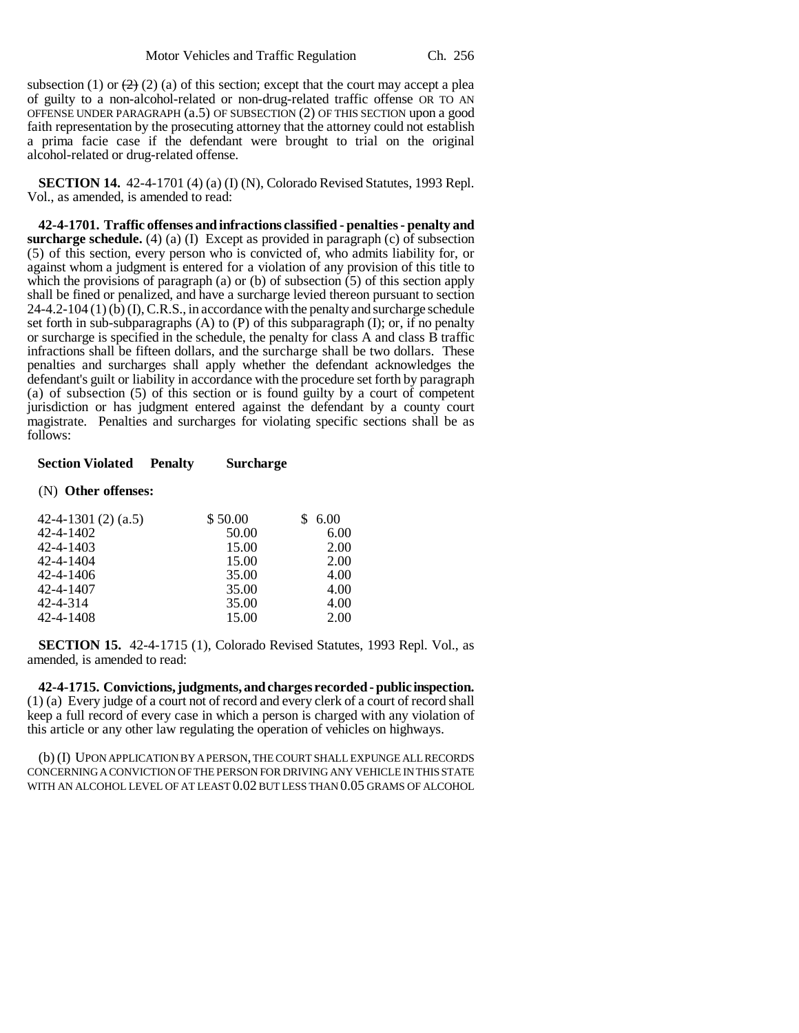subsection (1) or  $\left(2\right)$  (2) (a) of this section; except that the court may accept a plea of guilty to a non-alcohol-related or non-drug-related traffic offense OR TO AN OFFENSE UNDER PARAGRAPH (a.5) OF SUBSECTION (2) OF THIS SECTION upon a good faith representation by the prosecuting attorney that the attorney could not establish a prima facie case if the defendant were brought to trial on the original alcohol-related or drug-related offense.

**SECTION 14.** 42-4-1701 (4) (a) (I) (N), Colorado Revised Statutes, 1993 Repl. Vol., as amended, is amended to read:

**42-4-1701. Traffic offenses and infractions classified - penalties - penalty and surcharge schedule.** (4) (a) (I) Except as provided in paragraph (c) of subsection (5) of this section, every person who is convicted of, who admits liability for, or against whom a judgment is entered for a violation of any provision of this title to which the provisions of paragraph (a) or (b) of subsection (5) of this section apply shall be fined or penalized, and have a surcharge levied thereon pursuant to section 24-4.2-104 (1) (b) (I), C.R.S., in accordance with the penalty and surcharge schedule set forth in sub-subparagraphs  $(A)$  to  $(P)$  of this subparagraph  $(I)$ ; or, if no penalty or surcharge is specified in the schedule, the penalty for class A and class B traffic infractions shall be fifteen dollars, and the surcharge shall be two dollars. These penalties and surcharges shall apply whether the defendant acknowledges the defendant's guilt or liability in accordance with the procedure set forth by paragraph (a) of subsection (5) of this section or is found guilty by a court of competent jurisdiction or has judgment entered against the defendant by a county court magistrate. Penalties and surcharges for violating specific sections shall be as follows:

### **Section Violated Penalty Surcharge**

#### (N) **Other offenses:**

| 42-4-1301 $(2)$ $(a.5)$ | \$50.00 | 6.00 |
|-------------------------|---------|------|
| 42-4-1402               | 50.00   | 6.00 |
| 42-4-1403               | 15.00   | 2.00 |
| 42-4-1404               | 15.00   | 2.00 |
| 42-4-1406               | 35.00   | 4.00 |
| 42-4-1407               | 35.00   | 4.00 |
| 42-4-314                | 35.00   | 4.00 |
| 42-4-1408               | 15.00   | 2.00 |

**SECTION 15.** 42-4-1715 (1), Colorado Revised Statutes, 1993 Repl. Vol., as amended, is amended to read:

**42-4-1715. Convictions, judgments, and charges recorded - public inspection.** (1) (a) Every judge of a court not of record and every clerk of a court of record shall keep a full record of every case in which a person is charged with any violation of this article or any other law regulating the operation of vehicles on highways.

(b) (I) UPON APPLICATION BY A PERSON, THE COURT SHALL EXPUNGE ALL RECORDS CONCERNING A CONVICTION OF THE PERSON FOR DRIVING ANY VEHICLE IN THIS STATE WITH AN ALCOHOL LEVEL OF AT LEAST 0.02 BUT LESS THAN 0.05 GRAMS OF ALCOHOL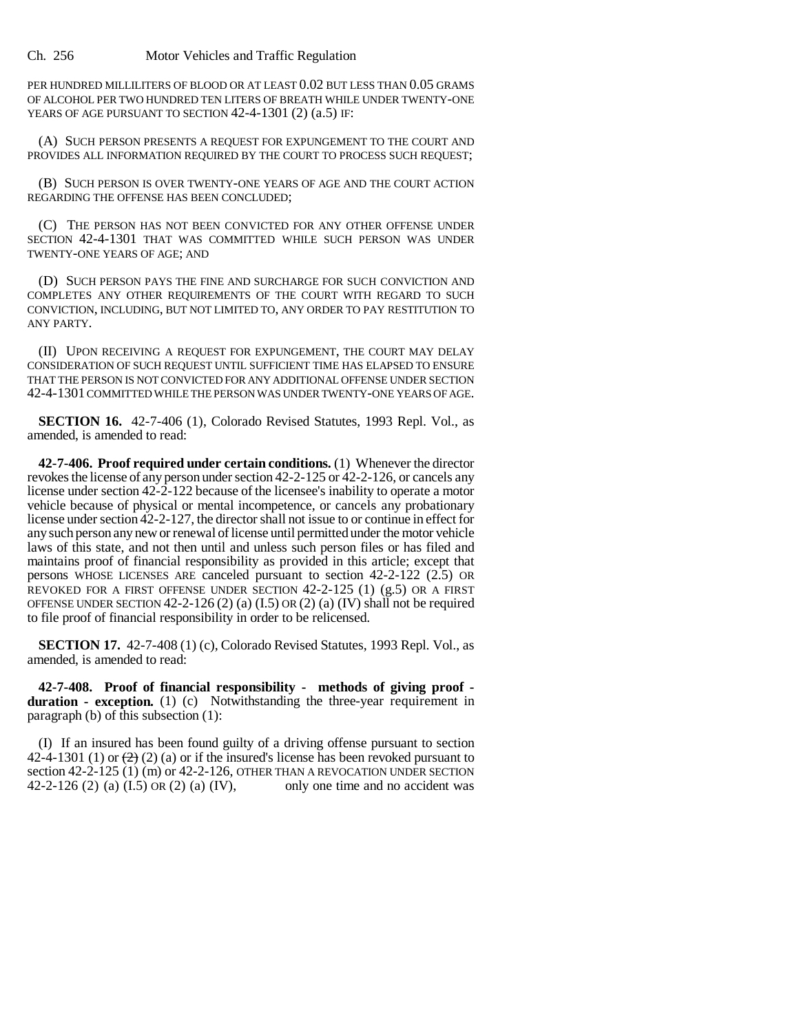PER HUNDRED MILLILITERS OF BLOOD OR AT LEAST 0.02 BUT LESS THAN 0.05 GRAMS OF ALCOHOL PER TWO HUNDRED TEN LITERS OF BREATH WHILE UNDER TWENTY-ONE YEARS OF AGE PURSUANT TO SECTION 42-4-1301 (2) (a.5) IF:

(A) SUCH PERSON PRESENTS A REQUEST FOR EXPUNGEMENT TO THE COURT AND PROVIDES ALL INFORMATION REQUIRED BY THE COURT TO PROCESS SUCH REQUEST;

(B) SUCH PERSON IS OVER TWENTY-ONE YEARS OF AGE AND THE COURT ACTION REGARDING THE OFFENSE HAS BEEN CONCLUDED;

(C) THE PERSON HAS NOT BEEN CONVICTED FOR ANY OTHER OFFENSE UNDER SECTION 42-4-1301 THAT WAS COMMITTED WHILE SUCH PERSON WAS UNDER TWENTY-ONE YEARS OF AGE; AND

(D) SUCH PERSON PAYS THE FINE AND SURCHARGE FOR SUCH CONVICTION AND COMPLETES ANY OTHER REQUIREMENTS OF THE COURT WITH REGARD TO SUCH CONVICTION, INCLUDING, BUT NOT LIMITED TO, ANY ORDER TO PAY RESTITUTION TO ANY PARTY.

(II) UPON RECEIVING A REQUEST FOR EXPUNGEMENT, THE COURT MAY DELAY CONSIDERATION OF SUCH REQUEST UNTIL SUFFICIENT TIME HAS ELAPSED TO ENSURE THAT THE PERSON IS NOT CONVICTED FOR ANY ADDITIONAL OFFENSE UNDER SECTION 42-4-1301 COMMITTED WHILE THE PERSON WAS UNDER TWENTY-ONE YEARS OF AGE.

**SECTION 16.** 42-7-406 (1), Colorado Revised Statutes, 1993 Repl. Vol., as amended, is amended to read:

**42-7-406. Proof required under certain conditions.** (1) Whenever the director revokes the license of any person under section 42-2-125 or 42-2-126, or cancels any license under section 42-2-122 because of the licensee's inability to operate a motor vehicle because of physical or mental incompetence, or cancels any probationary license under section 42-2-127, the director shall not issue to or continue in effect for any such person any new or renewal of license until permitted under the motor vehicle laws of this state, and not then until and unless such person files or has filed and maintains proof of financial responsibility as provided in this article; except that persons WHOSE LICENSES ARE canceled pursuant to section 42-2-122 (2.5) OR REVOKED FOR A FIRST OFFENSE UNDER SECTION 42-2-125 (1) (g.5) OR A FIRST OFFENSE UNDER SECTION  $42-2-126(2)$  (a)  $(I.5)$  OR  $(2)$  (a)  $(IV)$  shall not be required to file proof of financial responsibility in order to be relicensed.

**SECTION 17.** 42-7-408 (1) (c), Colorado Revised Statutes, 1993 Repl. Vol., as amended, is amended to read:

**42-7-408. Proof of financial responsibility - methods of giving proof duration - exception.** (1) (c) Notwithstanding the three-year requirement in paragraph (b) of this subsection (1):

(I) If an insured has been found guilty of a driving offense pursuant to section 42-4-1301 (1) or  $\left(\frac{2}{2}\right)$  (a) or if the insured's license has been revoked pursuant to section 42-2-125 (1) (m) or 42-2-126, OTHER THAN A REVOCATION UNDER SECTION 42-2-126 (2) (a) (I.5) OR (2) (a) (IV), only one time and no accident was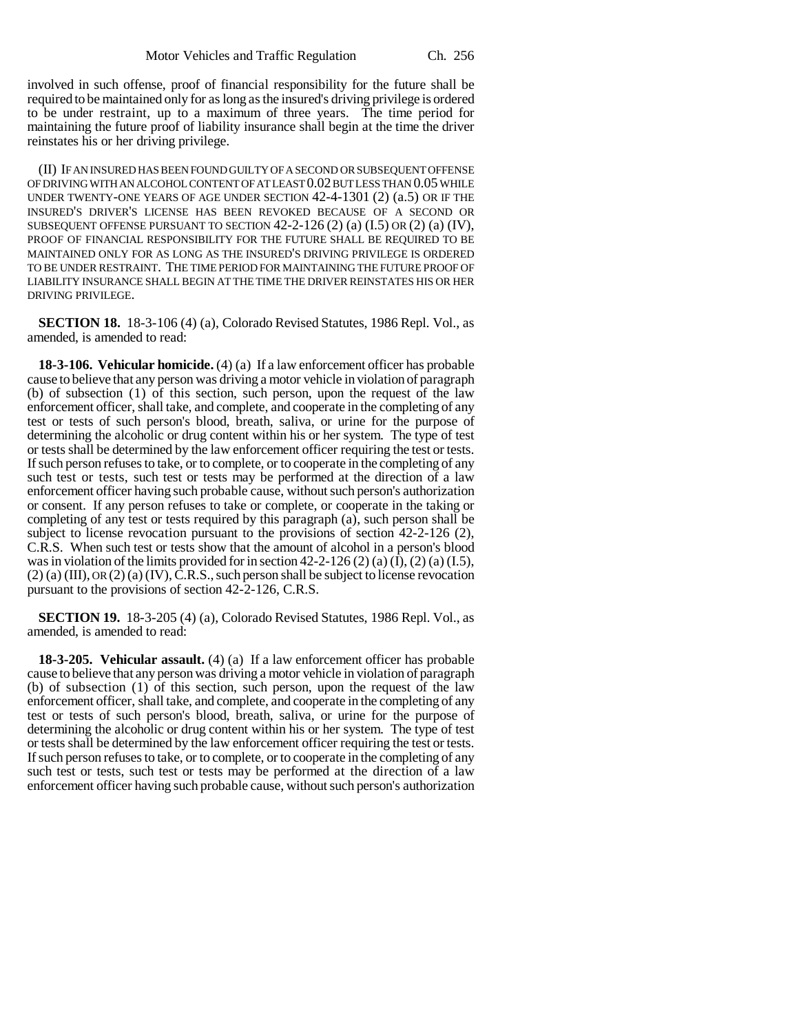involved in such offense, proof of financial responsibility for the future shall be required to be maintained only for as long as the insured's driving privilege is ordered to be under restraint, up to a maximum of three years. The time period for maintaining the future proof of liability insurance shall begin at the time the driver reinstates his or her driving privilege.

(II) IF AN INSURED HAS BEEN FOUND GUILTY OF A SECOND OR SUBSEQUENT OFFENSE OF DRIVING WITH AN ALCOHOL CONTENT OF AT LEAST 0.02 BUT LESS THAN 0.05 WHILE UNDER TWENTY-ONE YEARS OF AGE UNDER SECTION 42-4-1301 (2) (a.5) OR IF THE INSURED'S DRIVER'S LICENSE HAS BEEN REVOKED BECAUSE OF A SECOND OR SUBSEQUENT OFFENSE PURSUANT TO SECTION  $42-2-126(2)(a)(1.5)$  OR $(2)(a)(IV)$ , PROOF OF FINANCIAL RESPONSIBILITY FOR THE FUTURE SHALL BE REQUIRED TO BE MAINTAINED ONLY FOR AS LONG AS THE INSURED'S DRIVING PRIVILEGE IS ORDERED TO BE UNDER RESTRAINT. THE TIME PERIOD FOR MAINTAINING THE FUTURE PROOF OF LIABILITY INSURANCE SHALL BEGIN AT THE TIME THE DRIVER REINSTATES HIS OR HER DRIVING PRIVILEGE.

**SECTION 18.** 18-3-106 (4) (a), Colorado Revised Statutes, 1986 Repl. Vol., as amended, is amended to read:

**18-3-106. Vehicular homicide.** (4) (a) If a law enforcement officer has probable cause to believe that any person was driving a motor vehicle in violation of paragraph (b) of subsection (1) of this section, such person, upon the request of the law enforcement officer, shall take, and complete, and cooperate in the completing of any test or tests of such person's blood, breath, saliva, or urine for the purpose of determining the alcoholic or drug content within his or her system. The type of test or tests shall be determined by the law enforcement officer requiring the test or tests. If such person refuses to take, or to complete, or to cooperate in the completing of any such test or tests, such test or tests may be performed at the direction of a law enforcement officer having such probable cause, without such person's authorization or consent. If any person refuses to take or complete, or cooperate in the taking or completing of any test or tests required by this paragraph (a), such person shall be subject to license revocation pursuant to the provisions of section 42-2-126 (2), C.R.S. When such test or tests show that the amount of alcohol in a person's blood was in violation of the limits provided for in section  $42-2-126(2)(a)(1)$ ,  $(2)(a)(1.5)$ ,  $(2)$  (a) (III), OR  $(2)$  (a) (IV), C.R.S., such person shall be subject to license revocation pursuant to the provisions of section 42-2-126, C.R.S.

**SECTION 19.** 18-3-205 (4) (a), Colorado Revised Statutes, 1986 Repl. Vol., as amended, is amended to read:

**18-3-205. Vehicular assault.** (4) (a) If a law enforcement officer has probable cause to believe that any person was driving a motor vehicle in violation of paragraph (b) of subsection (1) of this section, such person, upon the request of the law enforcement officer, shall take, and complete, and cooperate in the completing of any test or tests of such person's blood, breath, saliva, or urine for the purpose of determining the alcoholic or drug content within his or her system. The type of test or tests shall be determined by the law enforcement officer requiring the test or tests. If such person refuses to take, or to complete, or to cooperate in the completing of any such test or tests, such test or tests may be performed at the direction of a law enforcement officer having such probable cause, without such person's authorization